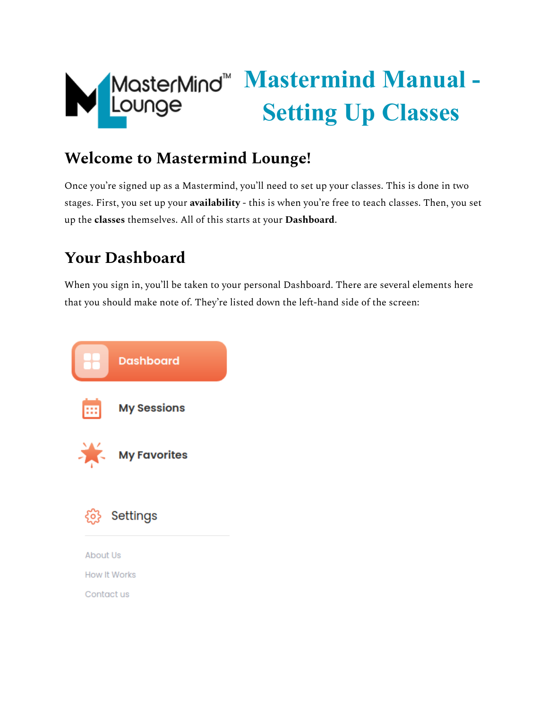

# **Mastermind Manual - Setting Up Classes**

# **Welcome to Mastermind Lounge!**

Once you're signed up as a Mastermind, you'll need to set up your classes. This is done in two stages. First, you set up your **availability** - this is when you're free to teach classes. Then, you set up the **classes** themselves. All of this starts at your **Dashboard**.

# **Your Dashboard**

When you sign in, you'll be taken to your personal Dashboard. There are several elements here that you should make note of. They're listed down the left-hand side of the screen:

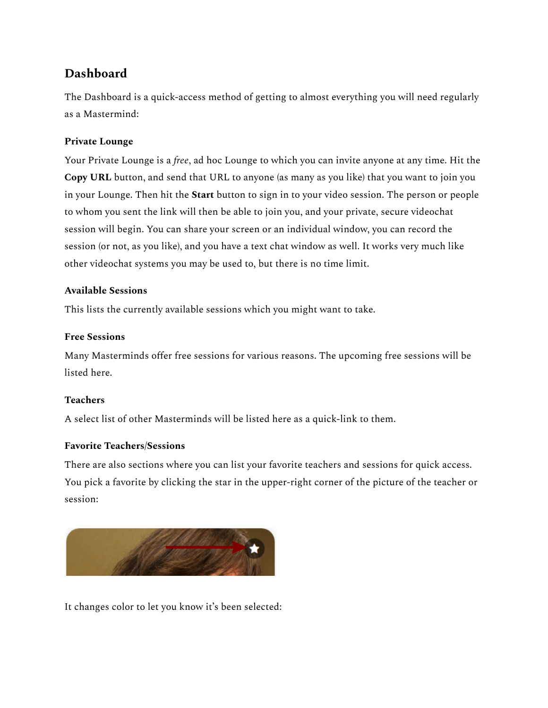# **Dashboard**

The Dashboard is a quick-access method of getting to almost everything you will need regularly as a Mastermind:

# **Private Lounge**

Your Private Lounge is a *free*, ad hoc Lounge to which you can invite anyone at any time. Hit the **Copy URL** button, and send that URL to anyone (as many as you like) that you want to join you in your Lounge. Then hit the **Start** button to sign in to your video session. The person or people to whom you sent the link will then be able to join you, and your private, secure videochat session will begin. You can share your screen or an individual window, you can record the session (or not, as you like), and you have a text chat window as well. It works very much like other videochat systems you may be used to, but there is no time limit.

# **Available Sessions**

This lists the currently available sessions which you might want to take.

#### **Free Sessions**

Many Masterminds offer free sessions for various reasons. The upcoming free sessions will be listed here.

# **Teachers**

A select list of other Masterminds will be listed here as a quick-link to them.

# **Favorite Teachers/Sessions**

There are also sections where you can list your favorite teachers and sessions for quick access. You pick a favorite by clicking the star in the upper-right corner of the picture of the teacher or session:



It changes color to let you know it's been selected: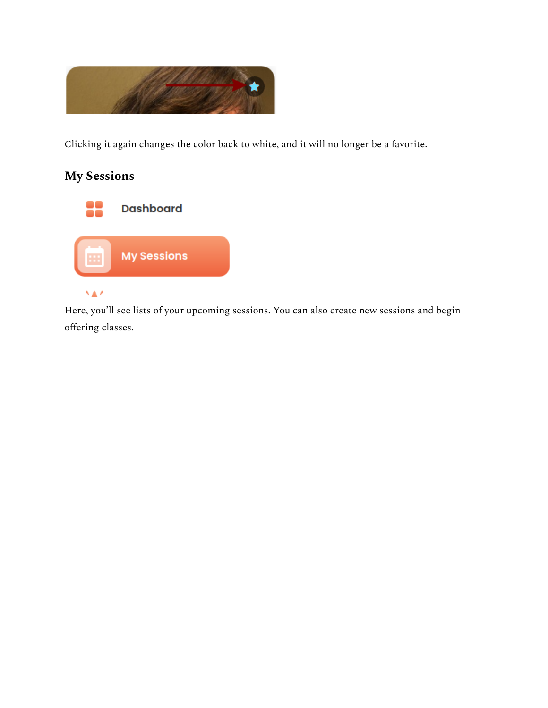

Clicking it again changes the color back to white, and it will no longer be a favorite.

# **My Sessions**



Here, you'll see lists of your upcoming sessions. You can also create new sessions and begin offering classes.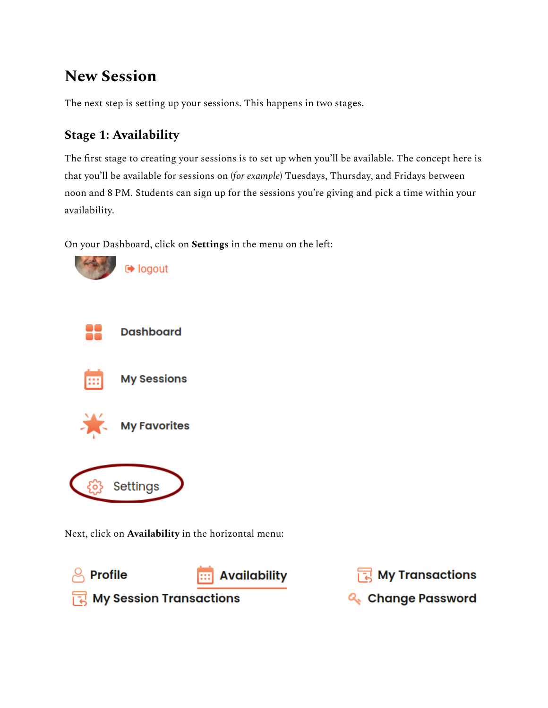# **New Session**

The next step is setting up your sessions. This happens in two stages.

# **Stage 1: Availability**

The first stage to creating your sessions is to set up when you'll be available. The concept here is that you'll be available for sessions on (*for example*) Tuesdays, Thursday, and Fridays between noon and 8 PM. Students can sign up for the sessions you're giving and pick a time within your availability.

On your Dashboard, click on **Settings** in the menu on the left:



Next, click on **Availability** in the horizontal menu:



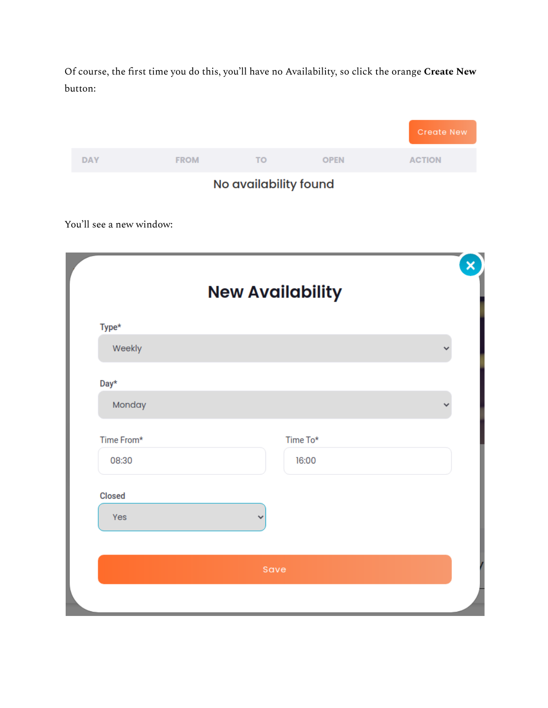Of course, the first time you do this, you'll have no Availability, so click the orange **Create New** button:

|            |             |    |             | <b>Create New</b> |
|------------|-------------|----|-------------|-------------------|
| <b>DAY</b> | <b>FROM</b> | TO | <b>OPEN</b> | <b>ACTION</b>     |
|            | . .         |    |             |                   |

No availability found

You'll see a new window:

|               | <b>New Availability</b> |  |
|---------------|-------------------------|--|
| Type*         |                         |  |
| Weekly        |                         |  |
| Day*          |                         |  |
| Monday        |                         |  |
| Time From*    | Time To*                |  |
| 08:30         | 16:00                   |  |
| <b>Closed</b> |                         |  |
| Yes           |                         |  |
|               |                         |  |
|               | Save                    |  |
|               |                         |  |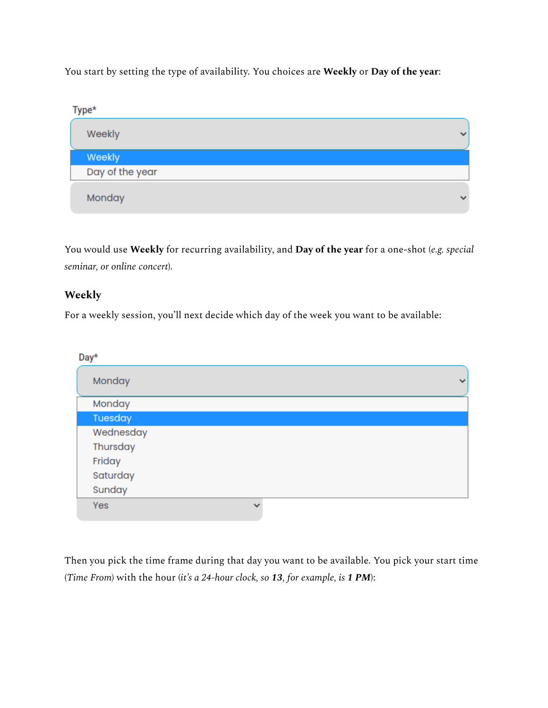You start by setting the type of availability. You choices are **Weekly** or **Day of the year**:



You would use **Weekly** for recurring availability, and **Day of the year** for a one-shot (*e.g. special seminar, or online concert*).

# **Weekly**

For a weekly session, you'll next decide which day of the week you want to be available:

| Day*      |              |              |
|-----------|--------------|--------------|
| Monday    |              | $\checkmark$ |
| Monday    |              |              |
| Tuesday   |              |              |
| Wednesday |              |              |
| Thursday  |              |              |
| Friday    |              |              |
| Saturday  |              |              |
| Sunday    |              |              |
| Yes       | $\checkmark$ |              |

Then you pick the time frame during that day you want to be available. You pick your start time (*Time From*) with the hour (*it's a 24-hour clock, so 13, for example, is 1 PM*):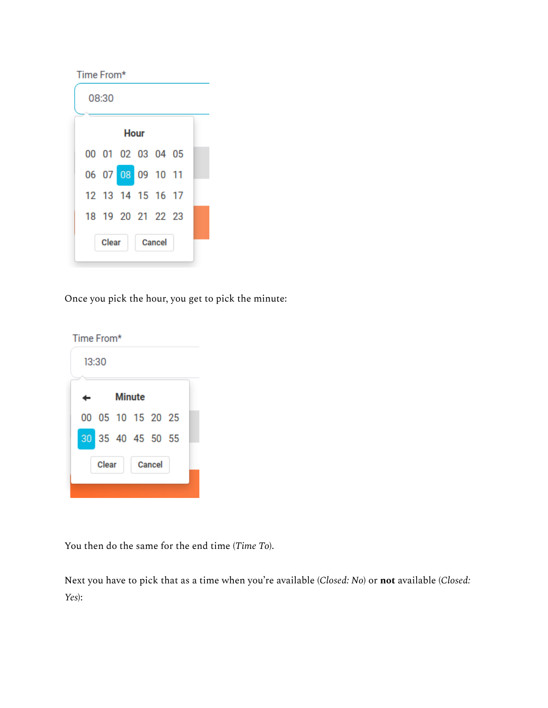| 08:30<br><b>Hour</b><br>00 01 02 03 04 05<br>06 07 08 09 10 11<br>12 13 14 15 16 17 |
|-------------------------------------------------------------------------------------|
|                                                                                     |
|                                                                                     |
|                                                                                     |
|                                                                                     |
|                                                                                     |
| 18 19 20 21 22 23                                                                   |
| Clear<br>Cancel                                                                     |

Once you pick the hour, you get to pick the minute:

| Time From* |                   |  |  |               |  |  |
|------------|-------------------|--|--|---------------|--|--|
|            | 13:30             |  |  |               |  |  |
| Minute     |                   |  |  |               |  |  |
|            | 00 05 10 15 20 25 |  |  |               |  |  |
|            | 30 35 40 45 50 55 |  |  |               |  |  |
|            | <b>Clear</b>      |  |  | <b>Cancel</b> |  |  |
|            |                   |  |  |               |  |  |

You then do the same for the end time (*Time To*).

Next you have to pick that as a time when you're available (*Closed: No*) or **not** available (*Closed: Yes*):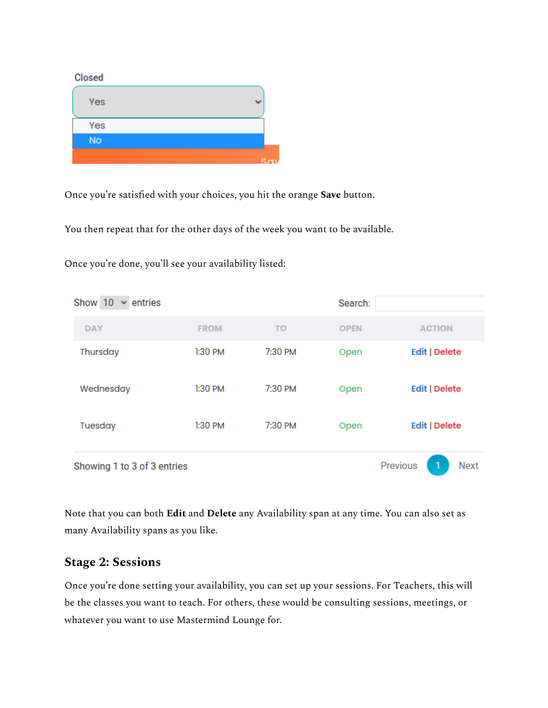#### **Closed**

| Yes       |  |
|-----------|--|
| Yes       |  |
| <b>No</b> |  |
|           |  |

Once you're satisfied with your choices, you hit the orange **Save** button.

You then repeat that for the other days of the week you want to be available.

Once you're done, you'll see your availability listed:

| Show 10<br>$\vee$ entries   |             |           | Search:     |                                     |
|-----------------------------|-------------|-----------|-------------|-------------------------------------|
| <b>DAY</b>                  | <b>FROM</b> | <b>TO</b> | <b>OPEN</b> | <b>ACTION</b>                       |
| Thursday                    | $1:30$ PM   | 7:30 PM   | Open        | <b>Edit   Delete</b>                |
| Wednesday                   | $1:30$ PM   | 7:30 PM   | Open        | <b>Edit   Delete</b>                |
| Tuesday                     | 1:30 PM     | 7:30 PM   | Open        | <b>Edit   Delete</b>                |
| Showing 1 to 3 of 3 entries |             |           |             | <b>Previous</b><br><b>Next</b><br>1 |

Note that you can both **Edit** and **Delete** any Availability span at any time. You can also set as many Availability spans as you like.

# **Stage 2: Sessions**

Once you're done setting your availability, you can set up your sessions. For Teachers, this will be the classes you want to teach. For others, these would be consulting sessions, meetings, or whatever you want to use Mastermind Lounge for.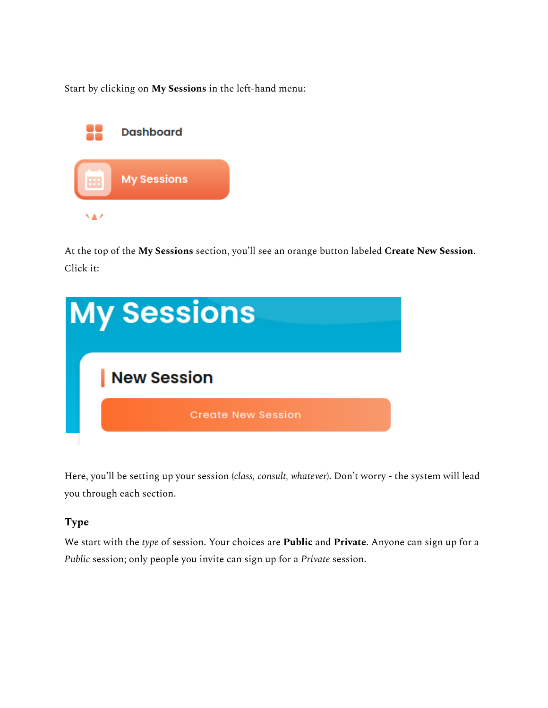Start by clicking on **My Sessions** in the left-hand menu:



At the top of the **My Sessions** section, you'll see an orange button labeled **Create New Session**. Click it:



Here, you'll be setting up your session (*class, consult, whatever*). Don't worry - the system will lead you through each section.

# **Type**

We start with the *type* of session. Your choices are **Public** and **Private**. Anyone can sign up for a *Public* session; only people you invite can sign up for a *Private* session.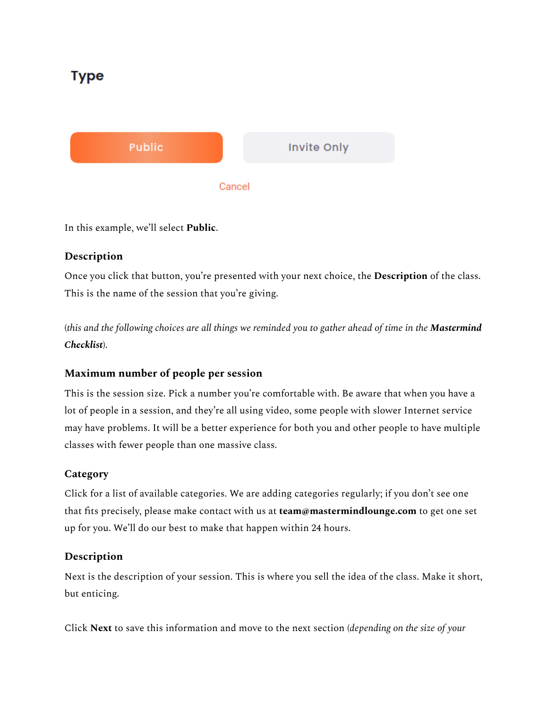# Type



In this example, we'll select **Public**.

# **Description**

Once you click that button, you're presented with your next choice, the **Description** of the class. This is the name of the session that you're giving.

(this and the following choices are all things we reminded you to gather ahead of time in the **Mastermind** *Checklist*).

# **Maximum number of people per session**

This is the session size. Pick a number you're comfortable with. Be aware that when you have a lot of people in a session, and they're all using video, some people with slower Internet service may have problems. It will be a better experience for both you and other people to have multiple classes with fewer people than one massive class.

# **Category**

Click for a list of available categories. We are adding categories regularly; if you don't see one that fits precisely, please make contact with us at **team@mastermindlounge.com** to get one set up for you. We'll do our best to make that happen within 24 hours.

# **Description**

Next is the description of your session. This is where you sell the idea of the class. Make it short, but enticing.

Click **Next** to save this information and move to the next section (*depending on the size of your*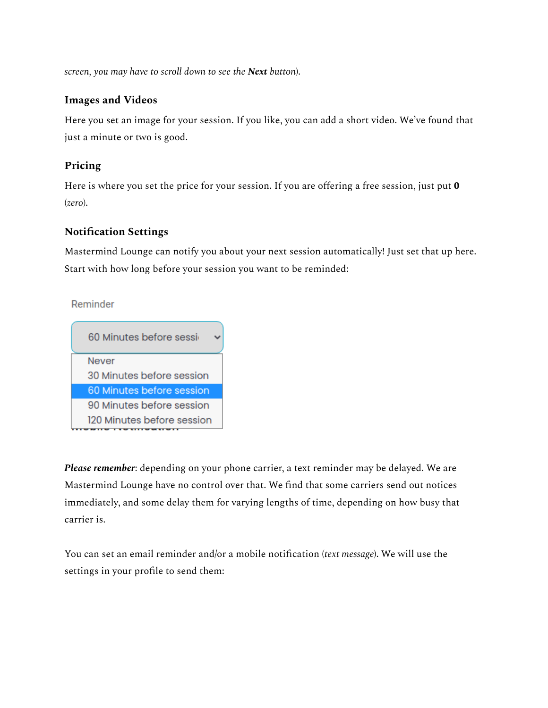*screen, you may have to scroll down to see the Next button*).

#### **Images and Videos**

Here you set an image for your session. If you like, you can add a short video. We've found that just a minute or two is good.

### **Pricing**

Here is where you set the price for your session. If you are offering a free session, just put **0** (*zero*).

# **Notification Settings**

Mastermind Lounge can notify you about your next session automatically! Just set that up here. Start with how long before your session you want to be reminded:

Reminder



*Please remember*: depending on your phone carrier, a text reminder may be delayed. We are Mastermind Lounge have no control over that. We find that some carriers send out notices immediately, and some delay them for varying lengths of time, depending on how busy that carrier is.

You can set an email reminder and/or a mobile notification (*text message*). We will use the settings in your profile to send them: